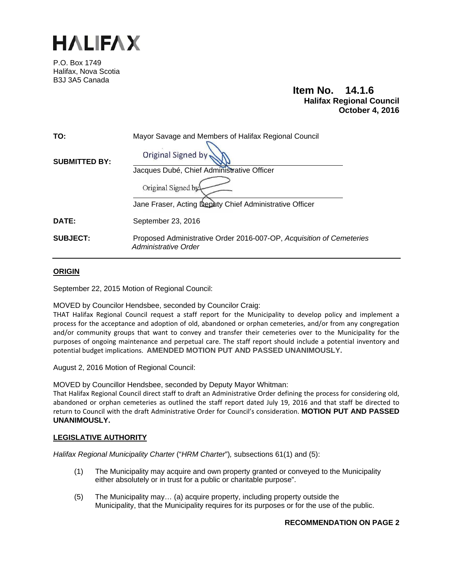

P.O. Box 1749 Halifax, Nova Scotia B3J 3A5 Canada

# **Item No. 14.1.6 Halifax Regional Council October 4, 2016**

| TO:                  | Mayor Savage and Members of Halifax Regional Council                                         |  |
|----------------------|----------------------------------------------------------------------------------------------|--|
| <b>SUBMITTED BY:</b> | <b>Original Signed by</b>                                                                    |  |
|                      | Jacques Dubé, Chief Administrative Officer                                                   |  |
|                      | Original Signed by                                                                           |  |
|                      | Jane Fraser, Acting Deputy Chief Administrative Officer                                      |  |
| DATE:                | September 23, 2016                                                                           |  |
| <b>SUBJECT:</b>      | Proposed Administrative Order 2016-007-OP, Acquisition of Cemeteries<br>Administrative Order |  |

## **ORIGIN**

September 22, 2015 Motion of Regional Council:

MOVED by Councilor Hendsbee, seconded by Councilor Craig:

THAT Halifax Regional Council request a staff report for the Municipality to develop policy and implement a process for the acceptance and adoption of old, abandoned or orphan cemeteries, and/or from any congregation and/or community groups that want to convey and transfer their cemeteries over to the Municipality for the purposes of ongoing maintenance and perpetual care. The staff report should include a potential inventory and potential budget implications. **AMENDED MOTION PUT AND PASSED UNANIMOUSLY.**

August 2, 2016 Motion of Regional Council:

MOVED by Councillor Hendsbee, seconded by Deputy Mayor Whitman:

That Halifax Regional Council direct staff to draft an Administrative Order defining the process for considering old, abandoned or orphan cemeteries as outlined the staff report dated July 19, 2016 and that staff be directed to return to Council with the draft Administrative Order for Council's consideration. **MOTION PUT AND PASSED UNANIMOUSLY.**

## **LEGISLATIVE AUTHORITY**

*Halifax Regional Municipality Charter* ("*HRM Charter*")*,* subsections 61(1) and (5):

- (1) The Municipality may acquire and own property granted or conveyed to the Municipality either absolutely or in trust for a public or charitable purpose".
- (5)The Municipality may… (a) acquire property, including property outside the Municipality, that the Municipality requires for its purposes or for the use of the public.

## **RECOMMENDATION ON PAGE 2**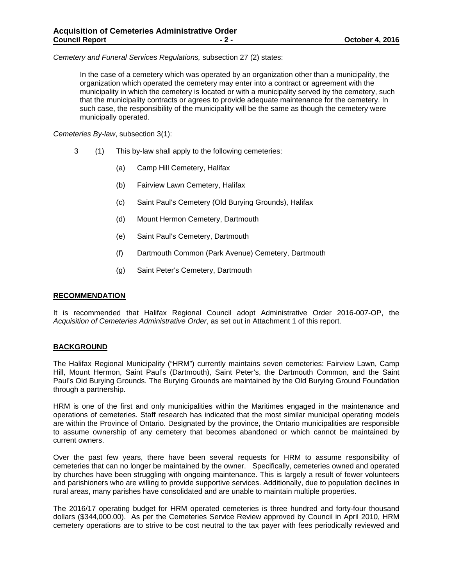*Cemetery and Funeral Services Regulations,* subsection 27 (2) states:

In the case of a cemetery which was operated by an organization other than a municipality, the organization which operated the cemetery may enter into a contract or agreement with the municipality in which the cemetery is located or with a municipality served by the cemetery, such that the municipality contracts or agrees to provide adequate maintenance for the cemetery. In such case, the responsibility of the municipality will be the same as though the cemetery were municipally operated.

*Cemeteries By-law*, subsection 3(1):

- 3 (1) This by-law shall apply to the following cemeteries:
	- (a) Camp Hill Cemetery, Halifax
	- (b) Fairview Lawn Cemetery, Halifax
	- (c) Saint Paul's Cemetery (Old Burying Grounds), Halifax
	- (d) Mount Hermon Cemetery, Dartmouth
	- (e) Saint Paul's Cemetery, Dartmouth
	- (f) Dartmouth Common (Park Avenue) Cemetery, Dartmouth
	- (g) Saint Peter's Cemetery, Dartmouth

#### **RECOMMENDATION**

It is recommended that Halifax Regional Council adopt Administrative Order 2016-007-OP, the *Acquisition of Cemeteries Administrative Order*, as set out in Attachment 1 of this report.

#### **BACKGROUND**

The Halifax Regional Municipality ("HRM") currently maintains seven cemeteries: Fairview Lawn, Camp Hill, Mount Hermon, Saint Paul's (Dartmouth), Saint Peter's, the Dartmouth Common, and the Saint Paul's Old Burying Grounds. The Burying Grounds are maintained by the Old Burying Ground Foundation through a partnership.

HRM is one of the first and only municipalities within the Maritimes engaged in the maintenance and operations of cemeteries. Staff research has indicated that the most similar municipal operating models are within the Province of Ontario. Designated by the province, the Ontario municipalities are responsible to assume ownership of any cemetery that becomes abandoned or which cannot be maintained by current owners.

Over the past few years, there have been several requests for HRM to assume responsibility of cemeteries that can no longer be maintained by the owner. Specifically, cemeteries owned and operated by churches have been struggling with ongoing maintenance. This is largely a result of fewer volunteers and parishioners who are willing to provide supportive services. Additionally, due to population declines in rural areas, many parishes have consolidated and are unable to maintain multiple properties.

The 2016/17 operating budget for HRM operated cemeteries is three hundred and forty-four thousand dollars (\$344,000.00). As per the Cemeteries Service Review approved by Council in April 2010, HRM cemetery operations are to strive to be cost neutral to the tax payer with fees periodically reviewed and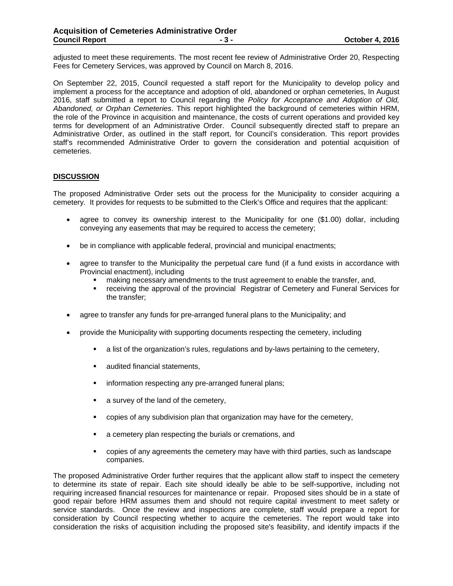adjusted to meet these requirements. The most recent fee review of Administrative Order 20, Respecting Fees for Cemetery Services, was approved by Council on March 8, 2016.

On September 22, 2015, Council requested a staff report for the Municipality to develop policy and implement a process for the acceptance and adoption of old, abandoned or orphan cemeteries, In August 2016, staff submitted a report to Council regarding the *Policy for Acceptance and Adoption of Old, Abandoned, or Orphan Cemeteries*. This report highlighted the background of cemeteries within HRM, the role of the Province in acquisition and maintenance, the costs of current operations and provided key terms for development of an Administrative Order. Council subsequently directed staff to prepare an Administrative Order, as outlined in the staff report, for Council's consideration. This report provides staff's recommended Administrative Order to govern the consideration and potential acquisition of cemeteries.

### **DISCUSSION**

The proposed Administrative Order sets out the process for the Municipality to consider acquiring a cemetery. It provides for requests to be submitted to the Clerk's Office and requires that the applicant:

- agree to convey its ownership interest to the Municipality for one (\$1.00) dollar, including conveying any easements that may be required to access the cemetery;
- be in compliance with applicable federal, provincial and municipal enactments;
- agree to transfer to the Municipality the perpetual care fund (if a fund exists in accordance with Provincial enactment), including
	- making necessary amendments to the trust agreement to enable the transfer, and,
	- **Fig. 2** receiving the approval of the provincial Registrar of Cemetery and Funeral Services for the transfer;
- agree to transfer any funds for pre-arranged funeral plans to the Municipality; and
- provide the Municipality with supporting documents respecting the cemetery, including
	- a list of the organization's rules, regulations and by-laws pertaining to the cemetery,
	- **audited financial statements,**
	- **information respecting any pre-arranged funeral plans;**
	- **a** survey of the land of the cemetery,
	- copies of any subdivision plan that organization may have for the cemetery,
	- a cemetery plan respecting the burials or cremations, and
	- copies of any agreements the cemetery may have with third parties, such as landscape companies.

The proposed Administrative Order further requires that the applicant allow staff to inspect the cemetery to determine its state of repair. Each site should ideally be able to be self-supportive, including not requiring increased financial resources for maintenance or repair. Proposed sites should be in a state of good repair before HRM assumes them and should not require capital investment to meet safety or service standards. Once the review and inspections are complete, staff would prepare a report for consideration by Council respecting whether to acquire the cemeteries. The report would take into consideration the risks of acquisition including the proposed site's feasibility, and identify impacts if the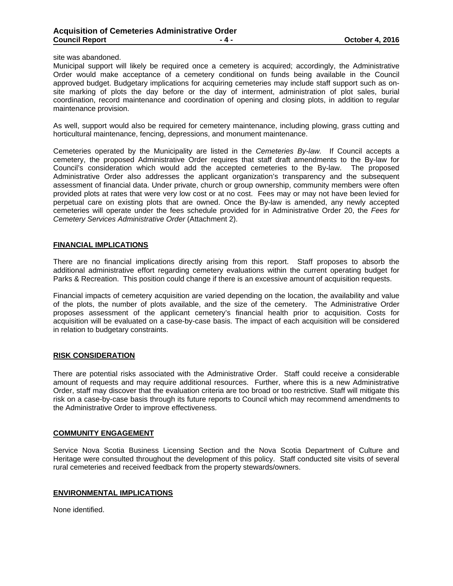site was abandoned.

Municipal support will likely be required once a cemetery is acquired; accordingly, the Administrative Order would make acceptance of a cemetery conditional on funds being available in the Council approved budget. Budgetary implications for acquiring cemeteries may include staff support such as onsite marking of plots the day before or the day of interment, administration of plot sales, burial coordination, record maintenance and coordination of opening and closing plots, in addition to regular maintenance provision.

As well, support would also be required for cemetery maintenance, including plowing, grass cutting and horticultural maintenance, fencing, depressions, and monument maintenance.

Cemeteries operated by the Municipality are listed in the *Cemeteries By-law.* If Council accepts a cemetery, the proposed Administrative Order requires that staff draft amendments to the By-law for Council's consideration which would add the accepted cemeteries to the By-law. The proposed Administrative Order also addresses the applicant organization's transparency and the subsequent assessment of financial data. Under private, church or group ownership, community members were often provided plots at rates that were very low cost or at no cost. Fees may or may not have been levied for perpetual care on existing plots that are owned. Once the By-law is amended, any newly accepted cemeteries will operate under the fees schedule provided for in Administrative Order 20, the *Fees for Cemetery Services Administrative Order* (Attachment 2).

#### **FINANCIAL IMPLICATIONS**

There are no financial implications directly arising from this report. Staff proposes to absorb the additional administrative effort regarding cemetery evaluations within the current operating budget for Parks & Recreation. This position could change if there is an excessive amount of acquisition requests.

Financial impacts of cemetery acquisition are varied depending on the location, the availability and value of the plots, the number of plots available, and the size of the cemetery. The Administrative Order proposes assessment of the applicant cemetery's financial health prior to acquisition. Costs for acquisition will be evaluated on a case-by-case basis. The impact of each acquisition will be considered in relation to budgetary constraints.

#### **RISK CONSIDERATION**

There are potential risks associated with the Administrative Order. Staff could receive a considerable amount of requests and may require additional resources. Further, where this is a new Administrative Order, staff may discover that the evaluation criteria are too broad or too restrictive. Staff will mitigate this risk on a case-by-case basis through its future reports to Council which may recommend amendments to the Administrative Order to improve effectiveness.

#### **COMMUNITY ENGAGEMENT**

Service Nova Scotia Business Licensing Section and the Nova Scotia Department of Culture and Heritage were consulted throughout the development of this policy. Staff conducted site visits of several rural cemeteries and received feedback from the property stewards/owners.

#### **ENVIRONMENTAL IMPLICATIONS**

None identified.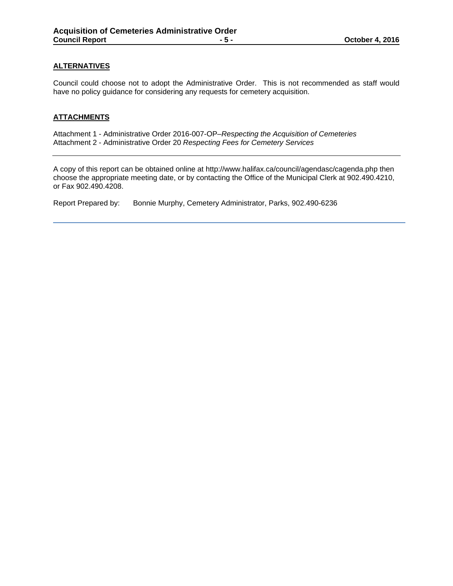### **ALTERNATIVES**

Council could choose not to adopt the Administrative Order. This is not recommended as staff would have no policy guidance for considering any requests for cemetery acquisition.

### **ATTACHMENTS**

Attachment 1 - Administrative Order 2016-007-OP–*Respecting the Acquisition of Cemeteries* Attachment 2 - Administrative Order 20 *Respecting Fees for Cemetery Services*

A copy of this report can be obtained online at http://www.halifax.ca/council/agendasc/cagenda.php then choose the appropriate meeting date, or by contacting the Office of the Municipal Clerk at 902.490.4210, or Fax 902.490.4208.

Report Prepared by: Bonnie Murphy, Cemetery Administrator, Parks, 902.490-6236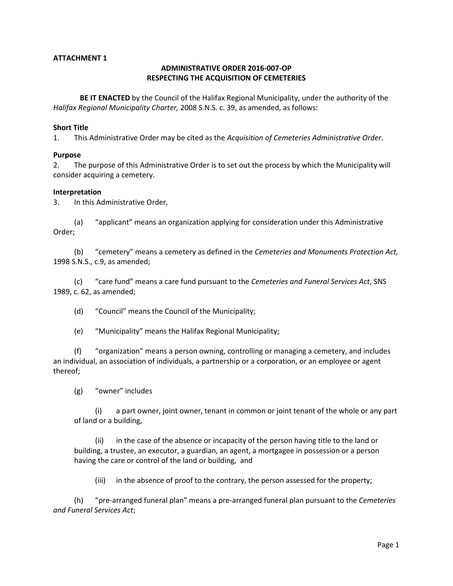## **ATTACHMENT 1**

## **ADMINISTRATIVE ORDER 2016-007-OP RESPECTING THE ACQUISITION OF CEMETERIES**

**BE IT ENACTED** by the Council of the Halifax Regional Municipality, under the authority of the *Halifax Regional Municipality Charter,* 2008 S.N.S. c. 39, as amended, as follows:

#### **Short Title**

1. This Administrative Order may be cited as the *Acquisition of Cemeteries Administrative Order*.

#### **Purpose**

2. The purpose of this Administrative Order is to set out the process by which the Municipality will consider acquiring a cemetery.

#### **Interpretation**

3. In this Administrative Order,

(a) "applicant" means an organization applying for consideration under this Administrative Order;

(b) "cemetery" means a cemetery as defined in the *Cemeteries and Monuments Protection Act,* 1998 S.N.S., c.9, as amended;

(c) "care fund" means a care fund pursuant to the *Cemeteries and Funeral Services Act*, SNS 1989, c. 62, as amended;

(d) "Council" means the Council of the Municipality;

(e) "Municipality" means the Halifax Regional Municipality;

(f) "organization" means a person owning, controlling or managing a cemetery, and includes an individual, an association of individuals, a partnership or a corporation, or an employee or agent thereof;

(g) "owner" includes

(i) a part owner, joint owner, tenant in common or joint tenant of the whole or any part of land or a building,

(ii) in the case of the absence or incapacity of the person having title to the land or building, a trustee, an executor, a guardian, an agent, a mortgagee in possession or a person having the care or control of the land or building, and

(iii) in the absence of proof to the contrary, the person assessed for the property;

(h) "pre-arranged funeral plan" means a pre-arranged funeral plan pursuant to the *Cemeteries and Funeral Services Act*;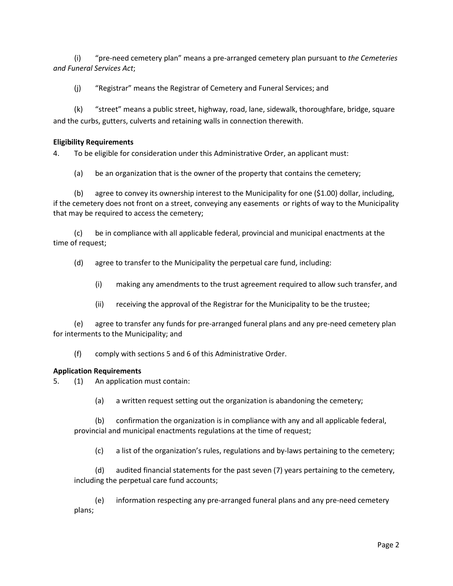(i) "pre-need cemetery plan" means a pre-arranged cemetery plan pursuant to *the Cemeteries and Funeral Services Act*;

(j) "Registrar" means the Registrar of Cemetery and Funeral Services; and

(k) "street" means a public street, highway, road, lane, sidewalk, thoroughfare, bridge, square and the curbs, gutters, culverts and retaining walls in connection therewith.

### **Eligibility Requirements**

4. To be eligible for consideration under this Administrative Order, an applicant must:

(a) be an organization that is the owner of the property that contains the cemetery;

(b) agree to convey its ownership interest to the Municipality for one (\$1.00) dollar, including, if the cemetery does not front on a street, conveying any easements or rights of way to the Municipality that may be required to access the cemetery;

(c) be in compliance with all applicable federal, provincial and municipal enactments at the time of request;

(d) agree to transfer to the Municipality the perpetual care fund, including:

- (i) making any amendments to the trust agreement required to allow such transfer, and
- (ii) receiving the approval of the Registrar for the Municipality to be the trustee;

(e) agree to transfer any funds for pre-arranged funeral plans and any pre-need cemetery plan for interments to the Municipality; and

(f) comply with sections 5 and 6 of this Administrative Order.

## **Application Requirements**

5. (1) An application must contain:

(a) a written request setting out the organization is abandoning the cemetery;

(b) confirmation the organization is in compliance with any and all applicable federal, provincial and municipal enactments regulations at the time of request;

(c) a list of the organization's rules, regulations and by-laws pertaining to the cemetery;

(d) audited financial statements for the past seven (7) years pertaining to the cemetery, including the perpetual care fund accounts;

(e) information respecting any pre-arranged funeral plans and any pre-need cemetery plans;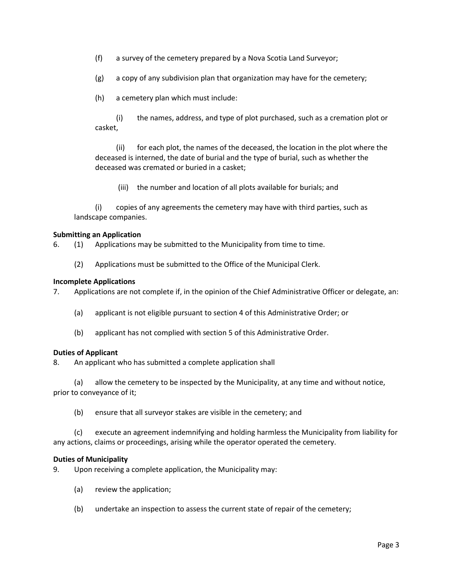(f) a survey of the cemetery prepared by a Nova Scotia Land Surveyor;

(g) a copy of any subdivision plan that organization may have for the cemetery;

(h) a cemetery plan which must include:

(i) the names, address, and type of plot purchased, such as a cremation plot or casket,

(ii) for each plot, the names of the deceased, the location in the plot where the deceased is interned, the date of burial and the type of burial, such as whether the deceased was cremated or buried in a casket;

(iii) the number and location of all plots available for burials; and

(i) copies of any agreements the cemetery may have with third parties, such as landscape companies.

### **Submitting an Application**

6. (1) Applications may be submitted to the Municipality from time to time.

(2) Applications must be submitted to the Office of the Municipal Clerk.

### **Incomplete Applications**

7. Applications are not complete if, in the opinion of the Chief Administrative Officer or delegate, an:

- (a) applicant is not eligible pursuant to section 4 of this Administrative Order; or
- (b) applicant has not complied with section 5 of this Administrative Order.

## **Duties of Applicant**

8. An applicant who has submitted a complete application shall

(a) allow the cemetery to be inspected by the Municipality, at any time and without notice, prior to conveyance of it;

(b) ensure that all surveyor stakes are visible in the cemetery; and

(c) execute an agreement indemnifying and holding harmless the Municipality from liability for any actions, claims or proceedings, arising while the operator operated the cemetery.

## **Duties of Municipality**

9. Upon receiving a complete application, the Municipality may:

- (a) review the application;
- (b) undertake an inspection to assess the current state of repair of the cemetery;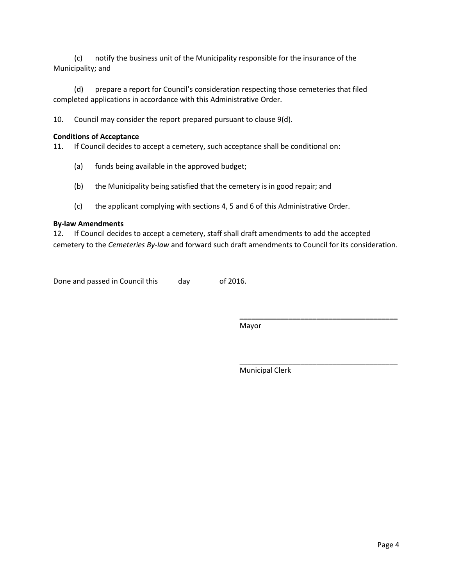(c) notify the business unit of the Municipality responsible for the insurance of the Municipality; and

(d) prepare a report for Council's consideration respecting those cemeteries that filed completed applications in accordance with this Administrative Order.

10. Council may consider the report prepared pursuant to clause 9(d).

### **Conditions of Acceptance**

11. If Council decides to accept a cemetery, such acceptance shall be conditional on:

- (a) funds being available in the approved budget;
- (b) the Municipality being satisfied that the cemetery is in good repair; and
- (c) the applicant complying with sections 4, 5 and 6 of this Administrative Order.

## **By-law Amendments**

12. If Council decides to accept a cemetery, staff shall draft amendments to add the accepted cemetery to the *Cemeteries By-law* and forward such draft amendments to Council for its consideration.

Done and passed in Council this day of 2016.

Mayor

Municipal Clerk

**\_\_\_\_\_\_\_\_\_\_\_\_\_\_\_\_\_\_\_\_\_\_\_\_\_\_\_\_\_\_\_\_\_\_\_\_\_\_\_**

\_\_\_\_\_\_\_\_\_\_\_\_\_\_\_\_\_\_\_\_\_\_\_\_\_\_\_\_\_\_\_\_\_\_\_\_\_\_\_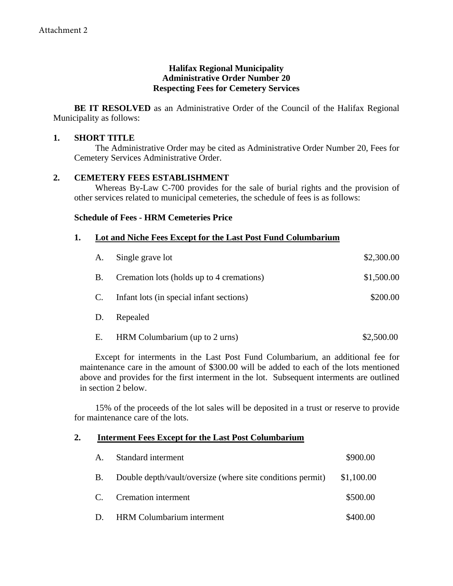# **Halifax Regional Municipality Administrative Order Number 20 Respecting Fees for Cemetery Services**

**BE IT RESOLVED** as an Administrative Order of the Council of the Halifax Regional Municipality as follows:

# **1. SHORT TITLE**

The Administrative Order may be cited as Administrative Order Number 20, Fees for Cemetery Services Administrative Order.

# **2. CEMETERY FEES ESTABLISHMENT**

Whereas By-Law C-700 provides for the sale of burial rights and the provision of other services related to municipal cemeteries, the schedule of fees is as follows:

# **Schedule of Fees - HRM Cemeteries Price**

# **1. Lot and Niche Fees Except for the Last Post Fund Columbarium**

| Single grave lot<br>A. |                                           | \$2,300.00 |  |  |
|------------------------|-------------------------------------------|------------|--|--|
| <b>B.</b>              | Cremation lots (holds up to 4 cremations) | \$1,500.00 |  |  |
| $\mathbf{C}$ .         | Infant lots (in special infant sections)  | \$200.00   |  |  |
| D.                     | Repealed                                  |            |  |  |
| Ε.                     | HRM Columbarium (up to 2 urns)            | \$2,500.00 |  |  |

Except for interments in the Last Post Fund Columbarium, an additional fee for maintenance care in the amount of \$300.00 will be added to each of the lots mentioned above and provides for the first interment in the lot. Subsequent interments are outlined in section 2 below.

15% of the proceeds of the lot sales will be deposited in a trust or reserve to provide for maintenance care of the lots.

## **2. Interment Fees Except for the Last Post Columbarium**

| A.        | Standard interment                                         | \$900.00   |
|-----------|------------------------------------------------------------|------------|
| <b>B.</b> | Double depth/vault/oversize (where site conditions permit) | \$1,100.00 |
|           | C. Cremation interment                                     | \$500.00   |
| D.        | <b>HRM</b> Columbarium interment                           | \$400.00   |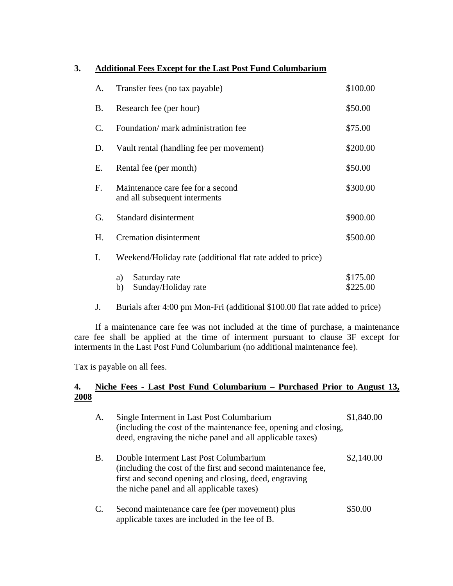# **3. Additional Fees Except for the Last Post Fund Columbarium**

| A.             | Transfer fees (no tax payable)                                     | \$100.00             |
|----------------|--------------------------------------------------------------------|----------------------|
| В.             | Research fee (per hour)                                            | \$50.00              |
| $\mathbf{C}$ . | Foundation/ mark administration fee                                | \$75.00              |
| D.             | Vault rental (handling fee per movement)                           | \$200.00             |
| Е.             | Rental fee (per month)                                             | \$50.00              |
| F.             | Maintenance care fee for a second<br>and all subsequent interments | \$300.00             |
| G.             | Standard disinterment                                              | \$900.00             |
| Η.             | <b>Cremation disinterment</b>                                      | \$500.00             |
| I.             | Weekend/Holiday rate (additional flat rate added to price)         |                      |
|                | Saturday rate<br>a)<br>Sunday/Holiday rate<br>b)                   | \$175.00<br>\$225.00 |

J. Burials after 4:00 pm Mon-Fri (additional \$100.00 flat rate added to price)

If a maintenance care fee was not included at the time of purchase, a maintenance care fee shall be applied at the time of interment pursuant to clause 3F except for interments in the Last Post Fund Columbarium (no additional maintenance fee).

Tax is payable on all fees.

# **4. Niche Fees - Last Post Fund Columbarium – Purchased Prior to August 13, 2008**

| А. | Single Interment in Last Post Columbarium<br>(including the cost of the maintenance fee, opening and closing,<br>deed, engraving the niche panel and all applicable taxes)                                   | \$1,840.00 |
|----|--------------------------------------------------------------------------------------------------------------------------------------------------------------------------------------------------------------|------------|
| B. | Double Interment Last Post Columbarium<br>(including the cost of the first and second maintenance fee,<br>first and second opening and closing, deed, engraving<br>the niche panel and all applicable taxes) | \$2,140.00 |
| C. | Second maintenance care fee (per movement) plus<br>applicable taxes are included in the fee of B.                                                                                                            | \$50.00    |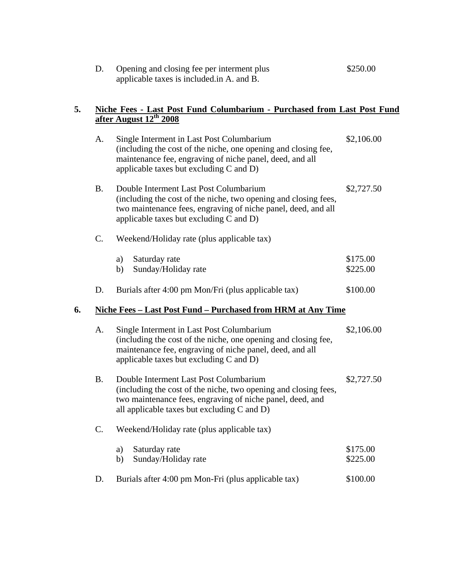| Opening and closing fee per interment plus | \$250.00 |
|--------------------------------------------|----------|
| applicable taxes is included in A. and B.  |          |

## **5. Niche Fees - Last Post Fund Columbarium - Purchased from Last Post Fund after August 12th 2008**

|    | A.        | Single Interment in Last Post Columbarium<br>(including the cost of the niche, one opening and closing fee,<br>maintenance fee, engraving of niche panel, deed, and all<br>applicable taxes but excluding C and D)      | \$2,106.00           |
|----|-----------|-------------------------------------------------------------------------------------------------------------------------------------------------------------------------------------------------------------------------|----------------------|
|    | <b>B.</b> | Double Interment Last Post Columbarium<br>(including the cost of the niche, two opening and closing fees,<br>two maintenance fees, engraving of niche panel, deed, and all<br>applicable taxes but excluding C and D)   | \$2,727.50           |
|    | C.        | Weekend/Holiday rate (plus applicable tax)                                                                                                                                                                              |                      |
|    |           | Saturday rate<br>a)<br>Sunday/Holiday rate<br>b)                                                                                                                                                                        | \$175.00<br>\$225.00 |
|    | D.        | Burials after 4:00 pm Mon/Fri (plus applicable tax)                                                                                                                                                                     | \$100.00             |
| 6. |           | <b>Niche Fees - Last Post Fund - Purchased from HRM at Any Time</b>                                                                                                                                                     |                      |
|    | A.        | Single Interment in Last Post Columbarium<br>(including the cost of the niche, one opening and closing fee,<br>maintenance fee, engraving of niche panel, deed, and all<br>applicable taxes but excluding $C$ and $D$ ) | \$2,106.00           |
|    | <b>B.</b> | Double Interment Last Post Columbarium<br>(including the cost of the niche, two opening and closing fees,<br>two maintenance fees, engraving of niche panel, deed, and<br>all applicable taxes but excluding C and D)   | \$2,727.50           |
|    | $C$ .     | Weekend/Holiday rate (plus applicable tax)                                                                                                                                                                              |                      |
|    |           | Saturday rate<br>a)<br>Sunday/Holiday rate<br>b)                                                                                                                                                                        | \$175.00<br>\$225.00 |
|    | D.        | Burials after 4:00 pm Mon-Fri (plus applicable tax)                                                                                                                                                                     | \$100.00             |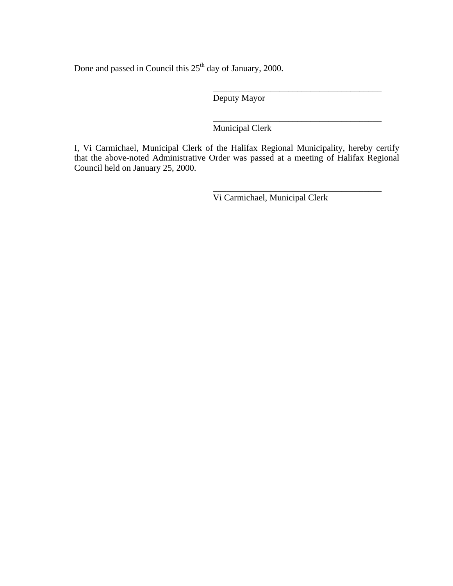Done and passed in Council this  $25<sup>th</sup>$  day of January, 2000.

Deputy Mayor

 $\overline{\phantom{a}}$  , and the contract of the contract of the contract of the contract of the contract of the contract of the contract of the contract of the contract of the contract of the contract of the contract of the contrac

 $\overline{\phantom{a}}$  , and the contract of the contract of the contract of the contract of the contract of the contract of the contract of the contract of the contract of the contract of the contract of the contract of the contrac Municipal Clerk

I, Vi Carmichael, Municipal Clerk of the Halifax Regional Municipality, hereby certify that the above-noted Administrative Order was passed at a meeting of Halifax Regional Council held on January 25, 2000.

 $\overline{\phantom{a}}$  , and the contract of the contract of the contract of the contract of the contract of the contract of the contract of the contract of the contract of the contract of the contract of the contract of the contrac

Vi Carmichael, Municipal Clerk